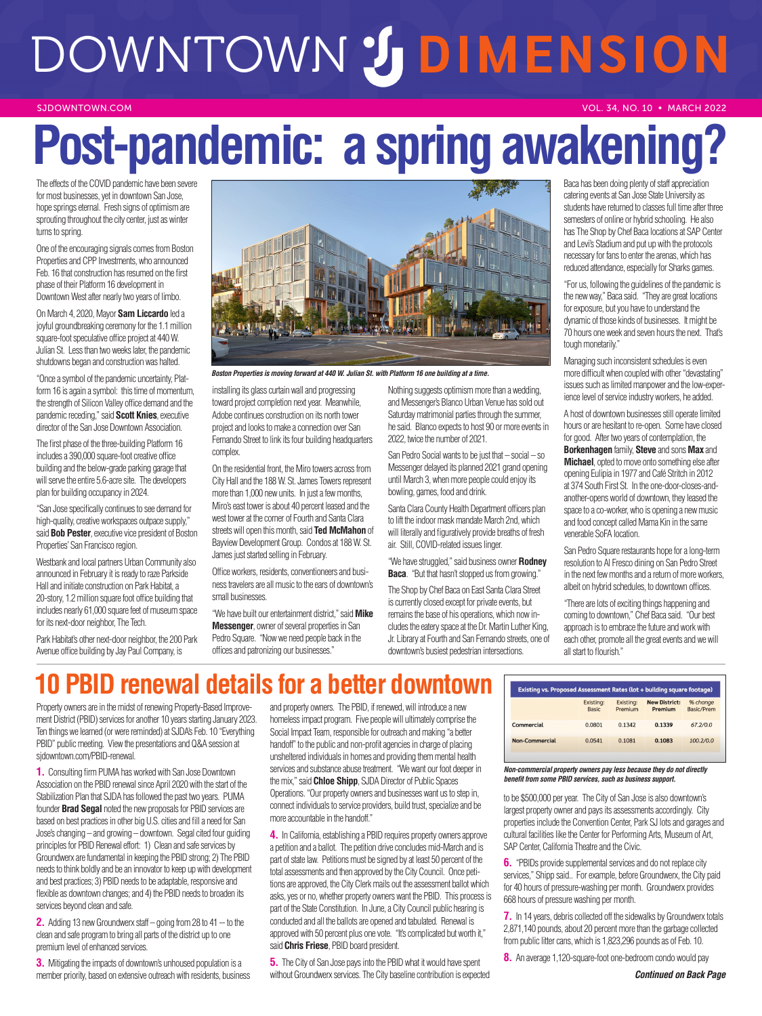# DOWNTOWN 2 DIMENSION

#### SJDOWNTOWN.COM

## Post-pandemic: a spring awakening

The effects of the COVID pandemic have been severe for most businesses, yet in downtown San Jose, hope springs eternal. Fresh signs of optimism are sprouting throughout the city center, just as winter turns to spring.

One of the encouraging signals comes from Boston Properties and CPP Investments, who announced Feb. 16 that construction has resumed on the first phase of their Platform 16 development in Downtown West after nearly two years of limbo.

On March 4, 2020, Mayor **Sam Liccardo** led a joyful groundbreaking ceremony for the 1.1 million square-foot speculative office project at 440 W. Julian St. Less than two weeks later, the pandemic shutdowns began and construction was halted.

"Once a symbol of the pandemic uncertainty, Platform 16 is again a symbol: this time of momentum, the strength of Silicon Valley office demand and the pandemic receding," said **Scott Knies**, executive director of the San Jose Downtown Association.

The first phase of the three-building Platform 16 includes a 390,000 square-foot creative office building and the below-grade parking garage that will serve the entire 5.6-acre site. The developers plan for building occupancy in 2024.

"San Jose specifically continues to see demand for high-quality, creative workspaces outpace supply," said **Bob Pester**, executive vice president of Boston Properties' San Francisco region.

Westbank and local partners Urban Community also announced in February it is ready to raze Parkside Hall and initiate construction on Park Habitat, a 20-story, 1.2 million square foot office building that includes nearly 61,000 square feet of museum space for its next-door neighbor, The Tech.

Park Habitat's other next-door neighbor, the 200 Park Avenue office building by Jay Paul Company, is



*Boston Properties is moving forward at 440 W. Julian St. with Platform 16 one building at a time.*

installing its glass curtain wall and progressing toward project completion next year. Meanwhile, Adobe continues construction on its north tower project and looks to make a connection over San Fernando Street to link its four building headquarters complex.

On the residential front, the Miro towers across from City Hall and the 188 W. St. James Towers represent more than 1,000 new units. In just a few months, Miro's east tower is about 40 percent leased and the west tower at the corner of Fourth and Santa Clara streets will open this month, said **Ted McMahon** of Bayview Development Group. Condos at 188 W. St. James just started selling in February.

Office workers, residents, conventioneers and business travelers are all music to the ears of downtown's small businesses.

"We have built our entertainment district," said **Mike Messenger**, owner of several properties in San Pedro Square. "Now we need people back in the offices and patronizing our businesses."

Nothing suggests optimism more than a wedding, and Messenger's Blanco Urban Venue has sold out Saturday matrimonial parties through the summer, he said. Blanco expects to host 90 or more events in 2022, twice the number of 2021

San Pedro Social wants to be just that – social – so Messenger delayed its planned 2021 grand opening until March 3, when more people could enjoy its bowling, games, food and drink.

Santa Clara County Health Department officers plan to lift the indoor mask mandate March 2nd, which will literally and figuratively provide breaths of fresh air. Still, COVID-related issues linger.

"We have struggled," said business owner **Rodney Baca**. "But that hasn't stopped us from growing."

The Shop by Chef Baca on East Santa Clara Street is currently closed except for private events, but remains the base of his operations, which now includes the eatery space at the Dr. Martin Luther King, Jr. Library at Fourth and San Fernando streets, one of downtown's busiest pedestrian intersections.

Baca has been doing plenty of staff appreciation catering events at San Jose State University as students have returned to classes full time after three semesters of online or hybrid schooling. He also has The Shop by Chef Baca locations at SAP Center and Levi's Stadium and put up with the protocols necessary for fans to enter the arenas, which has reduced attendance, especially for Sharks games.

VOL. 34, NO. 10 • MARCH 2022

"For us, following the guidelines of the pandemic is the new way," Baca said. "They are great locations for exposure, but you have to understand the dynamic of those kinds of businesses. It might be 70 hours one week and seven hours the next. That's tough monetarily."

Managing such inconsistent schedules is even more difficult when coupled with other "devastating" issues such as limited manpower and the low-experience level of service industry workers, he added.

A host of downtown businesses still operate limited hours or are hesitant to re-open. Some have closed for good. After two years of contemplation, the **Borkenhagen** family, **Steve** and sons **Max** and **Michael**, opted to move onto something else after opening Eulipia in 1977 and Café Stritch in 2012 at 374 South First St. In the one-door-closes-andanother-opens world of downtown, they leased the space to a co-worker, who is opening a new music and food concept called Mama Kin in the same venerable SoFA location.

San Pedro Square restaurants hope for a long-term resolution to Al Fresco dining on San Pedro Street in the next few months and a return of more workers, albeit on hybrid schedules, to downtown offices.

"There are lots of exciting things happening and coming to downtown," Chef Baca said. "Our best approach is to embrace the future and work with each other, promote all the great events and we will all start to flourish."

## **PBID renewal details for a better downtown**

Property owners are in the midst of renewing Property-Based Improvement District (PBID) services for another 10 years starting January 2023. Ten things we learned (or were reminded) at SJDA's Feb. 10 "Everything PBID" public meeting. View the presentations and Q&A session at sjdowntown.com/PBID-renewal.

**1.** Consulting firm PUMA has worked with San Jose Downtown Association on the PBID renewal since April 2020 with the start of the Stabilization Plan that SJDA has followed the past two years. PUMA founder **Brad Segal** noted the new proposals for PBID services are based on best practices in other big U.S. cities and fill a need for San Jose's changing – and growing – downtown. Segal cited four guiding principles for PBID Renewal effort: 1) Clean and safe services by Groundwerx are fundamental in keeping the PBID strong; 2) The PBID needs to think boldly and be an innovator to keep up with development and best practices; 3) PBID needs to be adaptable, responsive and flexible as downtown changes; and 4) the PBID needs to broaden its services beyond clean and safe.

**2.** Adding 13 new Groundwerx staff – going from 28 to 41 -- to the clean and safe program to bring all parts of the district up to one premium level of enhanced services.

**3.** Mitigating the impacts of downtown's unhoused population is a member priority, based on extensive outreach with residents, business and property owners. The PBID, if renewed, will introduce a new homeless impact program. Five people will ultimately comprise the Social Impact Team, responsible for outreach and making "a better handoff" to the public and non-profit agencies in charge of placing unsheltered individuals in homes and providing them mental health services and substance abuse treatment. "We want our foot deeper in the mix," said **Chloe Shipp**, SJDA Director of Public Spaces Operations. "Our property owners and businesses want us to step in, connect individuals to service providers, build trust, specialize and be more accountable in the handoff."

**4.** In California, establishing a PBID requires property owners approve a petition and a ballot. The petition drive concludes mid-March and is part of state law. Petitions must be signed by at least 50 percent of the total assessments and then approved by the City Council. Once petitions are approved, the City Clerk mails out the assessment ballot which asks, yes or no, whether property owners want the PBID. This process is part of the State Constitution. In June, a City Council public hearing is conducted and all the ballots are opened and tabulated. Renewal is approved with 50 percent plus one vote. "It's complicated but worth it," said **Chris Friese**, PBID board president.

**5.** The City of San Jose pays into the PBID what it would have spent without Groundwerx services. The City baseline contribution is expected

| Existing vs. Proposed Assessment Rates (lot + building square footage) |                           |                      |                                 |                        |
|------------------------------------------------------------------------|---------------------------|----------------------|---------------------------------|------------------------|
|                                                                        | Existing:<br><b>Basic</b> | Existing:<br>Premium | <b>New District:</b><br>Premium | % change<br>Basic/Prem |
| Commercial                                                             | 0.0801                    | 0.1342               | 0.1339                          | 67.2/0.0               |
| Non-Commercial                                                         | 0.0541                    | 0.1081               | 0.1083                          | 100.2/0.0              |

#### *Non-commercial property owners pay less because they do not directly benefit from some PBID services, such as business support.*

to be \$500,000 per year. The City of San Jose is also downtown's largest property owner and pays its assessments accordingly. City properties include the Convention Center, Park SJ lots and garages and cultural facilities like the Center for Performing Arts, Museum of Art, SAP Center, California Theatre and the Civic.

**6.** "PBIDs provide supplemental services and do not replace city services," Shipp said.. For example, before Groundwerx, the City paid for 40 hours of pressure-washing per month. Groundwerx provides 668 hours of pressure washing per month.

**7.** In 14 years, debris collected off the sidewalks by Groundwerx totals 2,871,140 pounds, about 20 percent more than the garbage collected from public litter cans, which is 1,823,296 pounds as of Feb. 10.

**8.** An average 1,120-square-foot one-bedroom condo would pay